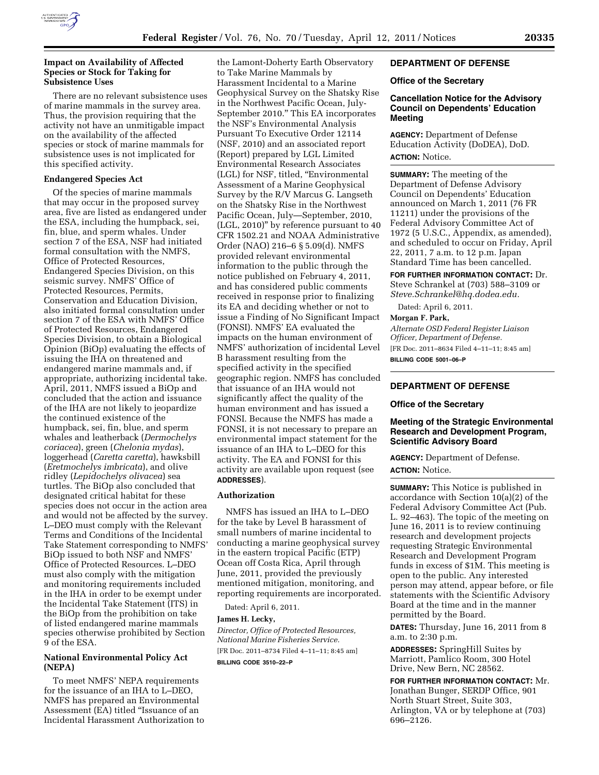

## **Impact on Availability of Affected Species or Stock for Taking for Subsistence Uses**

There are no relevant subsistence uses of marine mammals in the survey area. Thus, the provision requiring that the activity not have an unmitigable impact on the availability of the affected species or stock of marine mammals for subsistence uses is not implicated for this specified activity.

## **Endangered Species Act**

Of the species of marine mammals that may occur in the proposed survey area, five are listed as endangered under the ESA, including the humpback, sei, fin, blue, and sperm whales. Under section 7 of the ESA, NSF had initiated formal consultation with the NMFS, Office of Protected Resources, Endangered Species Division, on this seismic survey. NMFS' Office of Protected Resources, Permits, Conservation and Education Division, also initiated formal consultation under section 7 of the ESA with NMFS' Office of Protected Resources, Endangered Species Division, to obtain a Biological Opinion (BiOp) evaluating the effects of issuing the IHA on threatened and endangered marine mammals and, if appropriate, authorizing incidental take. April, 2011, NMFS issued a BiOp and concluded that the action and issuance of the IHA are not likely to jeopardize the continued existence of the humpback, sei, fin, blue, and sperm whales and leatherback (*Dermochelys coriacea*), green (*Chelonia mydas*), loggerhead (*Caretta caretta*), hawksbill (*Eretmochelys imbricata*), and olive ridley (*Lepidochelys olivacea*) sea turtles. The BiOp also concluded that designated critical habitat for these species does not occur in the action area and would not be affected by the survey. L–DEO must comply with the Relevant Terms and Conditions of the Incidental Take Statement corresponding to NMFS' BiOp issued to both NSF and NMFS' Office of Protected Resources. L–DEO must also comply with the mitigation and monitoring requirements included in the IHA in order to be exempt under the Incidental Take Statement (ITS) in the BiOp from the prohibition on take of listed endangered marine mammals species otherwise prohibited by Section 9 of the ESA.

### **National Environmental Policy Act (NEPA)**

To meet NMFS' NEPA requirements for the issuance of an IHA to L–DEO, NMFS has prepared an Environmental Assessment (EA) titled ''Issuance of an Incidental Harassment Authorization to

the Lamont-Doherty Earth Observatory to Take Marine Mammals by Harassment Incidental to a Marine Geophysical Survey on the Shatsky Rise in the Northwest Pacific Ocean, July-September 2010.'' This EA incorporates the NSF's Environmental Analysis Pursuant To Executive Order 12114 (NSF, 2010) and an associated report (Report) prepared by LGL Limited Environmental Research Associates (LGL) for NSF, titled, ''Environmental Assessment of a Marine Geophysical Survey by the R/V Marcus G. Langseth on the Shatsky Rise in the Northwest Pacific Ocean, July—September, 2010, (LGL, 2010)'' by reference pursuant to 40 CFR 1502.21 and NOAA Administrative Order (NAO) 216–6 § 5.09(d). NMFS provided relevant environmental information to the public through the notice published on February 4, 2011, and has considered public comments received in response prior to finalizing its EA and deciding whether or not to issue a Finding of No Significant Impact (FONSI). NMFS' EA evaluated the impacts on the human environment of NMFS' authorization of incidental Level B harassment resulting from the specified activity in the specified geographic region. NMFS has concluded that issuance of an IHA would not significantly affect the quality of the human environment and has issued a FONSI. Because the NMFS has made a FONSI, it is not necessary to prepare an environmental impact statement for the issuance of an IHA to L–DEO for this activity. The EA and FONSI for this activity are available upon request (see **ADDRESSES**).

### **Authorization**

NMFS has issued an IHA to L–DEO for the take by Level B harassment of small numbers of marine incidental to conducting a marine geophysical survey in the eastern tropical Pacific (ETP) Ocean off Costa Rica, April through June, 2011, provided the previously mentioned mitigation, monitoring, and reporting requirements are incorporated.

Dated: April 6, 2011.

## **James H. Lecky,**

*Director, Office of Protected Resources, National Marine Fisheries Service.*  [FR Doc. 2011–8734 Filed 4–11–11; 8:45 am]

**BILLING CODE 3510–22–P** 

## **DEPARTMENT OF DEFENSE**

### **Office of the Secretary**

## **Cancellation Notice for the Advisory Council on Dependents' Education Meeting**

**AGENCY:** Department of Defense Education Activity (DoDEA), DoD. **ACTION:** Notice.

**SUMMARY:** The meeting of the Department of Defense Advisory Council on Dependents' Education announced on March 1, 2011 (76 FR 11211) under the provisions of the Federal Advisory Committee Act of 1972 (5 U.S.C., Appendix, as amended), and scheduled to occur on Friday, April 22, 2011, 7 a.m. to 12 p.m. Japan Standard Time has been cancelled.

**FOR FURTHER INFORMATION CONTACT:** Dr. Steve Schrankel at (703) 588–3109 or *[Steve.Schrankel@hq.dodea.edu.](mailto:Steve.Schrankel@hq.dodea.edu)* 

Dated: April 6, 2011.

# **Morgan F. Park,**

*Alternate OSD Federal Register Liaison Officer, Department of Defense.*  [FR Doc. 2011–8634 Filed 4–11–11; 8:45 am] **BILLING CODE 5001–06–P** 

## **DEPARTMENT OF DEFENSE**

#### **Office of the Secretary**

## **Meeting of the Strategic Environmental Research and Development Program, Scientific Advisory Board**

**AGENCY:** Department of Defense. **ACTION:** Notice.

**SUMMARY:** This Notice is published in accordance with Section 10(a)(2) of the Federal Advisory Committee Act (Pub. L. 92–463). The topic of the meeting on June 16, 2011 is to review continuing research and development projects requesting Strategic Environmental Research and Development Program funds in excess of \$1M. This meeting is open to the public. Any interested person may attend, appear before, or file statements with the Scientific Advisory Board at the time and in the manner permitted by the Board.

**DATES:** Thursday, June 16, 2011 from 8 a.m. to 2:30 p.m.

**ADDRESSES:** SpringHill Suites by Marriott, Pamlico Room, 300 Hotel Drive, New Bern, NC 28562.

**FOR FURTHER INFORMATION CONTACT:** Mr. Jonathan Bunger, SERDP Office, 901 North Stuart Street, Suite 303, Arlington, VA or by telephone at (703) 696–2126.